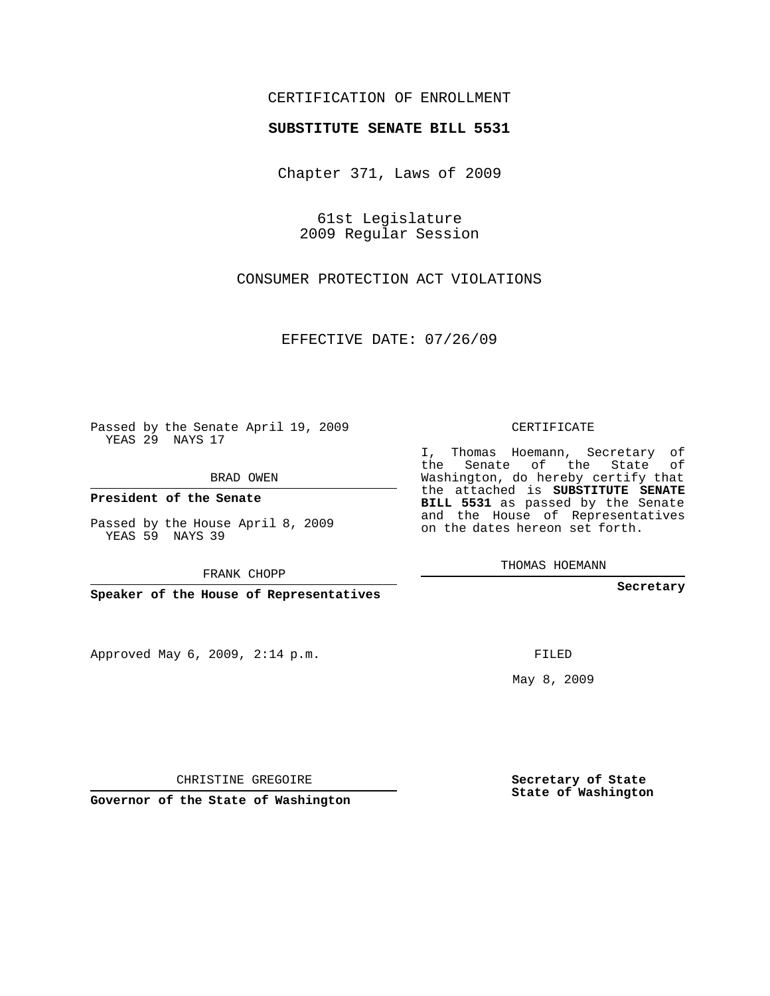## CERTIFICATION OF ENROLLMENT

## **SUBSTITUTE SENATE BILL 5531**

Chapter 371, Laws of 2009

61st Legislature 2009 Regular Session

CONSUMER PROTECTION ACT VIOLATIONS

EFFECTIVE DATE: 07/26/09

Passed by the Senate April 19, 2009 YEAS 29 NAYS 17

BRAD OWEN

**President of the Senate**

Passed by the House April 8, 2009 YEAS 59 NAYS 39

FRANK CHOPP

**Speaker of the House of Representatives**

Approved May 6, 2009, 2:14 p.m.

CERTIFICATE

I, Thomas Hoemann, Secretary of the Senate of the State of Washington, do hereby certify that the attached is **SUBSTITUTE SENATE BILL 5531** as passed by the Senate and the House of Representatives on the dates hereon set forth.

THOMAS HOEMANN

**Secretary**

FILED

May 8, 2009

**Secretary of State State of Washington**

CHRISTINE GREGOIRE

**Governor of the State of Washington**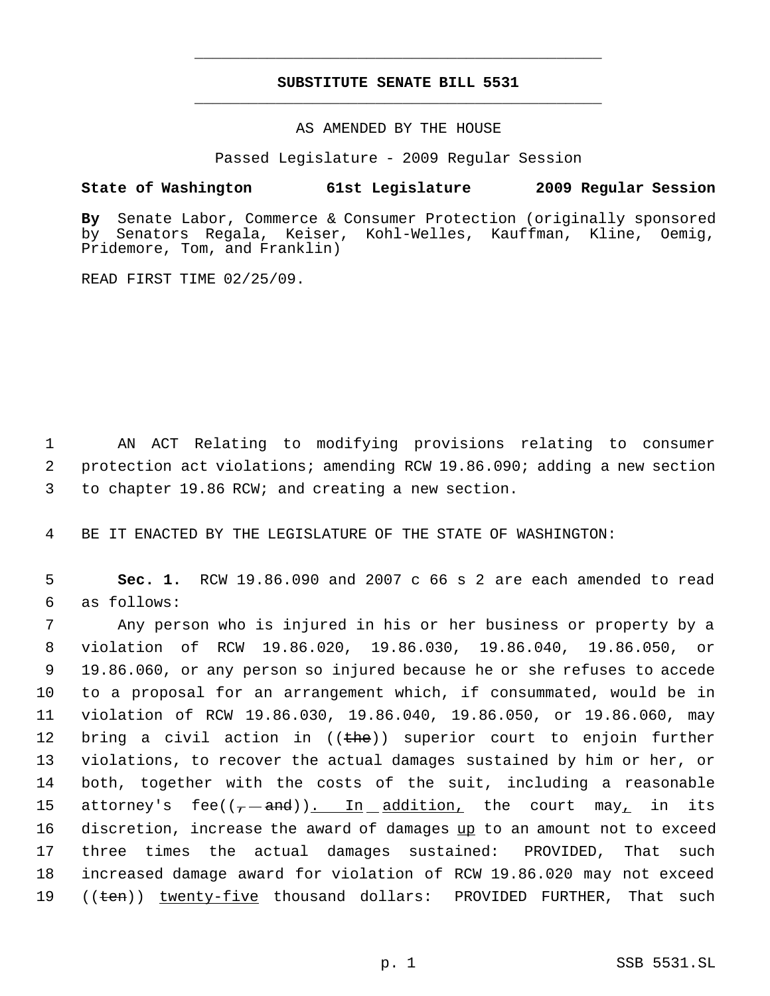## **SUBSTITUTE SENATE BILL 5531** \_\_\_\_\_\_\_\_\_\_\_\_\_\_\_\_\_\_\_\_\_\_\_\_\_\_\_\_\_\_\_\_\_\_\_\_\_\_\_\_\_\_\_\_\_

\_\_\_\_\_\_\_\_\_\_\_\_\_\_\_\_\_\_\_\_\_\_\_\_\_\_\_\_\_\_\_\_\_\_\_\_\_\_\_\_\_\_\_\_\_

AS AMENDED BY THE HOUSE

Passed Legislature - 2009 Regular Session

## **State of Washington 61st Legislature 2009 Regular Session**

**By** Senate Labor, Commerce & Consumer Protection (originally sponsored by Senators Regala, Keiser, Kohl-Welles, Kauffman, Kline, Oemig, Pridemore, Tom, and Franklin)

READ FIRST TIME 02/25/09.

 1 AN ACT Relating to modifying provisions relating to consumer 2 protection act violations; amending RCW 19.86.090; adding a new section 3 to chapter 19.86 RCW; and creating a new section.

4 BE IT ENACTED BY THE LEGISLATURE OF THE STATE OF WASHINGTON:

 5 **Sec. 1.** RCW 19.86.090 and 2007 c 66 s 2 are each amended to read 6 as follows:

 Any person who is injured in his or her business or property by a violation of RCW 19.86.020, 19.86.030, 19.86.040, 19.86.050, or 19.86.060, or any person so injured because he or she refuses to accede to a proposal for an arrangement which, if consummated, would be in violation of RCW 19.86.030, 19.86.040, 19.86.050, or 19.86.060, may 12 bring a civil action in  $((the)$  superior court to enjoin further violations, to recover the actual damages sustained by him or her, or both, together with the costs of the suit, including a reasonable 15 attorney's fee( $(- -$ and)). In addition, the court may, in its 16 discretion, increase the award of damages up to an amount not to exceed three times the actual damages sustained: PROVIDED, That such increased damage award for violation of RCW 19.86.020 may not exceed 19 ((<del>ten</del>)) <u>twenty-five</u> thousand dollars: PROVIDED FURTHER, That such